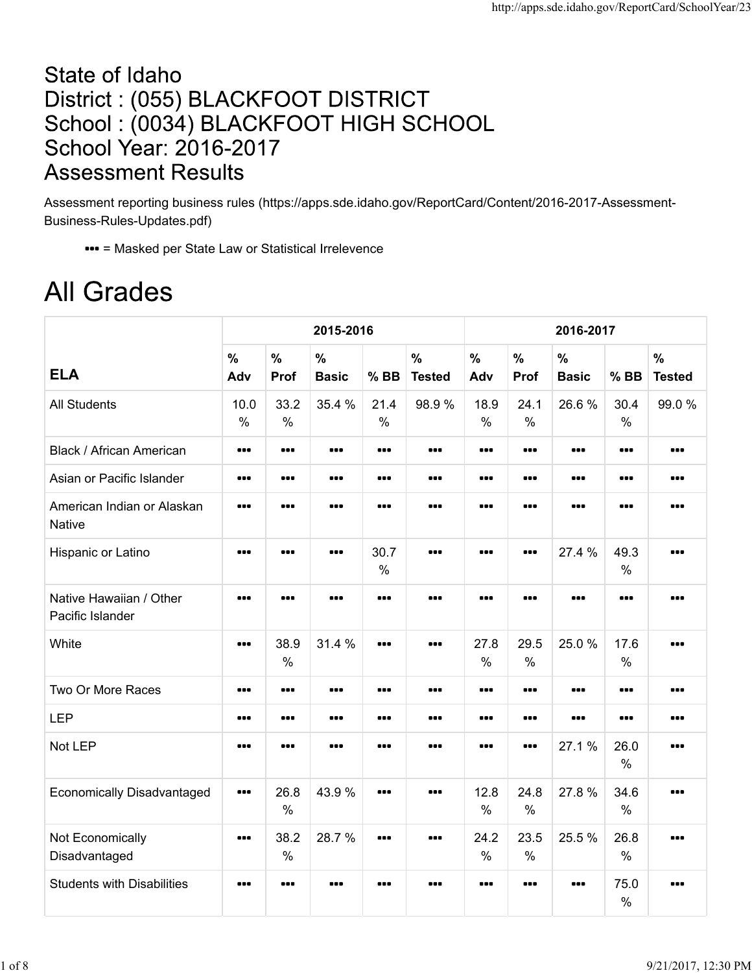## State of Idaho District: (055) BLACKFOOT DISTRICT School: (0034) BLACKFOOT HIGH SCHOOL **School Year: 2016-2017 Assessment Results**

Assessment reporting business rules (https://apps.sde.idaho.gov/ReportCard/Content/2016-2017-Assessment-Business-Rules-Updates.pdf)

= Masked per State Law or Statistical Irrelevence

## **All Grades**

|                                             |                                                             |                                                             | 2015-2016                     |                                                              |                                | 2016-2017             |                                                             |                                                             |                       |                                |  |  |
|---------------------------------------------|-------------------------------------------------------------|-------------------------------------------------------------|-------------------------------|--------------------------------------------------------------|--------------------------------|-----------------------|-------------------------------------------------------------|-------------------------------------------------------------|-----------------------|--------------------------------|--|--|
| <b>ELA</b>                                  | $\frac{0}{0}$<br>Adv                                        | $\frac{1}{2}$<br>Prof                                       | $\frac{0}{0}$<br><b>Basic</b> | $%$ BB                                                       | $\frac{0}{0}$<br><b>Tested</b> | $\frac{0}{0}$<br>Adv  | $\frac{0}{0}$<br>Prof                                       | $\frac{0}{0}$<br><b>Basic</b>                               | $%$ BB                | $\frac{1}{2}$<br><b>Tested</b> |  |  |
| <b>All Students</b>                         | 10.0<br>$\%$                                                | 33.2<br>$\frac{0}{0}$                                       | 35.4 %                        | 21.4<br>$\%$                                                 | 98.9%                          | 18.9<br>$\frac{0}{0}$ | 24.1<br>$\frac{0}{0}$                                       | 26.6%                                                       | 30.4<br>$\%$          | 99.0%                          |  |  |
| <b>Black / African American</b>             |                                                             | $\begin{array}{cc} \bullet & \bullet & \bullet \end{array}$ |                               |                                                              |                                |                       | $\begin{array}{cc} \bullet & \bullet & \bullet \end{array}$ | $\bullet\bullet\bullet$                                     |                       |                                |  |  |
| Asian or Pacific Islander                   |                                                             |                                                             |                               | $\begin{array}{ccc} \bullet & \bullet & \bullet \end{array}$ |                                |                       | $\begin{array}{cc} \bullet & \bullet & \bullet \end{array}$ | $\begin{array}{cc} \bullet & \bullet & \bullet \end{array}$ |                       |                                |  |  |
| American Indian or Alaskan<br><b>Native</b> | $\bullet\bullet\bullet$                                     |                                                             | $\bullet\bullet\bullet$       | $\bullet\bullet\bullet$                                      | $\bullet\bullet\bullet$        |                       | $\bullet\bullet\bullet$                                     | $\bullet\bullet\bullet$                                     |                       |                                |  |  |
| Hispanic or Latino                          | $\bullet\bullet\bullet$                                     |                                                             |                               | 30.7<br>$\frac{0}{0}$                                        |                                |                       | $\bullet\bullet\bullet$                                     | 27.4 %                                                      | 49.3<br>$\frac{0}{0}$ |                                |  |  |
| Native Hawaiian / Other<br>Pacific Islander | $\bullet\bullet\bullet$                                     |                                                             | $\bullet\bullet\bullet$       |                                                              |                                |                       |                                                             |                                                             |                       |                                |  |  |
| White                                       | $\begin{array}{cc} \bullet & \bullet & \bullet \end{array}$ | 38.9<br>$\frac{0}{0}$                                       | 31.4 %                        | $\bullet\bullet\bullet$                                      |                                | 27.8<br>$\frac{0}{0}$ | 29.5<br>$\frac{0}{0}$                                       | 25.0%                                                       | 17.6<br>$\%$          |                                |  |  |
| Two Or More Races                           | $\bullet\bullet\bullet$                                     |                                                             | $\bullet\bullet\bullet$       | $\bullet\bullet\bullet$                                      |                                |                       | $\bullet\bullet\bullet$                                     | $\bullet\bullet\bullet$                                     |                       |                                |  |  |
| <b>LEP</b>                                  |                                                             |                                                             |                               |                                                              |                                |                       | $\bullet\bullet\bullet$                                     |                                                             |                       |                                |  |  |
| Not LEP                                     |                                                             |                                                             |                               |                                                              |                                |                       | $\bullet\bullet\bullet$                                     | 27.1%                                                       | 26.0<br>$\%$          |                                |  |  |
| <b>Economically Disadvantaged</b>           |                                                             | 26.8<br>$\%$                                                | 43.9%                         |                                                              |                                | 12.8<br>$\frac{0}{0}$ | 24.8<br>$\%$                                                | 27.8%                                                       | 34.6<br>$\%$          |                                |  |  |
| Not Economically<br>Disadvantaged           |                                                             | 38.2<br>$\%$                                                | 28.7 %                        | $\bullet\bullet\bullet$                                      |                                | 24.2<br>$\frac{0}{0}$ | 23.5<br>$\%$                                                | 25.5 %                                                      | 26.8<br>$\%$          |                                |  |  |
| <b>Students with Disabilities</b>           |                                                             |                                                             |                               | $\bullet\bullet\bullet$                                      |                                |                       | $\bullet\bullet\bullet$                                     | $\bullet\bullet\bullet$                                     | 75.0<br>$\%$          |                                |  |  |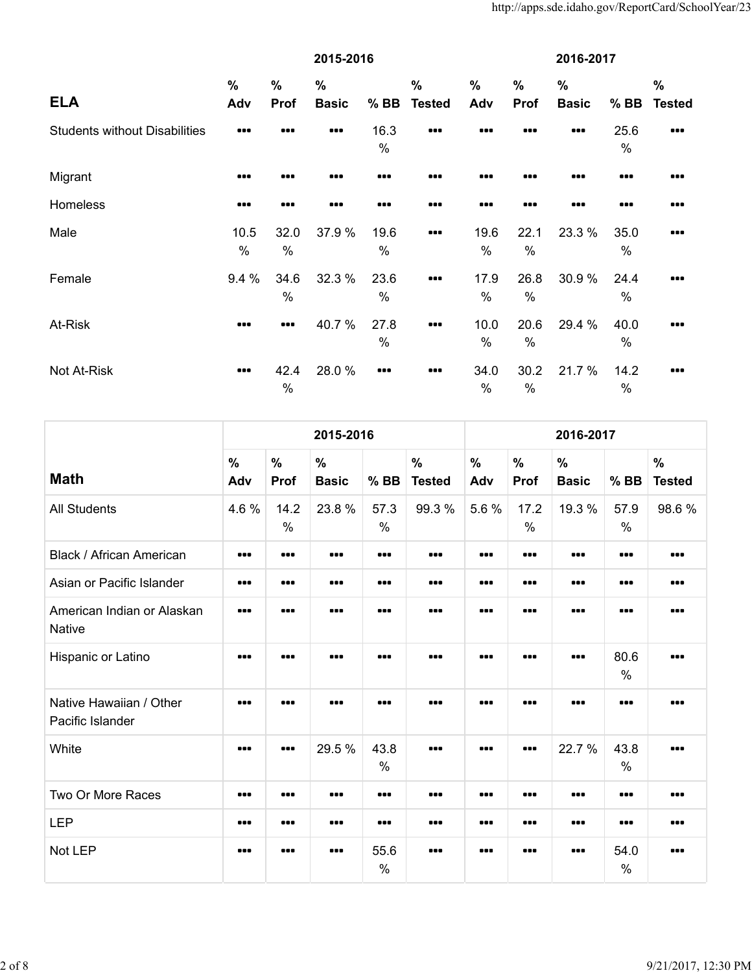|                                      | 2015-2016               |                                                             |                         |              |                         | 2016-2017            |              |                      |              |                       |
|--------------------------------------|-------------------------|-------------------------------------------------------------|-------------------------|--------------|-------------------------|----------------------|--------------|----------------------|--------------|-----------------------|
| <b>ELA</b>                           | $\frac{0}{0}$<br>Adv    | $\%$<br>Prof                                                | $\%$<br><b>Basic</b>    | $%$ BB       | $\%$<br><b>Tested</b>   | $\frac{0}{0}$<br>Adv | $\%$<br>Prof | $\%$<br><b>Basic</b> | $%$ BB       | $\%$<br><b>Tested</b> |
| <b>Students without Disabilities</b> |                         |                                                             | $\bullet\bullet\bullet$ | 16.3<br>$\%$ |                         |                      |              |                      | 25.6<br>%    |                       |
| Migrant                              |                         |                                                             |                         |              | 88 E                    |                      |              |                      |              |                       |
| Homeless                             |                         |                                                             |                         |              |                         |                      |              |                      |              |                       |
| Male                                 | 10.5<br>%               | 32.0<br>%                                                   | 37.9 %                  | 19.6<br>$\%$ | $\bullet\bullet\bullet$ | 19.6<br>$\%$         | 22.1<br>$\%$ | 23.3 %               | 35.0<br>$\%$ |                       |
| Female                               | 9.4 %                   | 34.6<br>$\%$                                                | 32.3 %                  | 23.6<br>$\%$ |                         | 17.9<br>%            | 26.8<br>%    | 30.9%                | 24.4<br>$\%$ |                       |
| At-Risk                              | $\bullet\bullet\bullet$ | $\begin{array}{cc} \bullet & \bullet & \bullet \end{array}$ | 40.7%                   | 27.8<br>$\%$ |                         | 10.0<br>$\%$         | 20.6<br>%    | 29.4 %               | 40.0<br>$\%$ |                       |
| Not At-Risk                          | $\bullet\bullet\bullet$ | 42.4<br>%                                                   | 28.0%                   |              |                         | 34.0<br>$\%$         | 30.2<br>$\%$ | 21.7%                | 14.2<br>%    |                       |

|                                             |                         |                                                             | 2015-2016                                                   |                         |                                | 2016-2017                                                   |                         |                      |                       |                       |  |
|---------------------------------------------|-------------------------|-------------------------------------------------------------|-------------------------------------------------------------|-------------------------|--------------------------------|-------------------------------------------------------------|-------------------------|----------------------|-----------------------|-----------------------|--|
| <b>Math</b>                                 | $\frac{0}{0}$<br>Adv    | $\%$<br>Prof                                                | $\frac{0}{0}$<br><b>Basic</b>                               | $%$ BB                  | $\frac{0}{0}$<br><b>Tested</b> | $\frac{0}{0}$<br>Adv                                        | $\frac{0}{0}$<br>Prof   | $\%$<br><b>Basic</b> | $%$ BB                | $\%$<br><b>Tested</b> |  |
| <b>All Students</b>                         | 4.6 %                   | 14.2<br>$\frac{0}{0}$                                       | 23.8%                                                       | 57.3<br>$\%$            | 99.3 %                         | 5.6%                                                        | 17.2<br>$\frac{0}{0}$   | 19.3 %               | 57.9<br>$\frac{0}{0}$ | 98.6%                 |  |
| Black / African American                    | $\bullet\bullet\bullet$ | $\bullet\bullet\bullet$                                     | $\bullet\bullet\bullet$                                     | $\bullet\bullet\bullet$ |                                | $\bullet\bullet\bullet$                                     |                         |                      |                       |                       |  |
| Asian or Pacific Islander                   |                         | $\bullet\bullet\bullet$                                     | $\bullet\bullet\bullet$                                     |                         |                                | $\bullet\bullet\bullet$                                     | $\bullet\bullet\bullet$ |                      |                       |                       |  |
| American Indian or Alaskan<br>Native        | $\bullet\bullet\bullet$ |                                                             |                                                             |                         |                                |                                                             |                         |                      |                       |                       |  |
| Hispanic or Latino                          |                         |                                                             |                                                             |                         |                                |                                                             |                         |                      | 80.6<br>$\frac{0}{0}$ |                       |  |
| Native Hawaiian / Other<br>Pacific Islander |                         |                                                             |                                                             |                         |                                | $\bullet\bullet\bullet$                                     |                         |                      |                       |                       |  |
| White                                       |                         | $\begin{array}{cc} \bullet & \bullet & \bullet \end{array}$ | 29.5 %                                                      | 43.8<br>$\%$            |                                | $\begin{array}{cc} \bullet & \bullet & \bullet \end{array}$ |                         | 22.7 %               | 43.8<br>$\frac{0}{0}$ |                       |  |
| Two Or More Races                           |                         |                                                             |                                                             |                         |                                |                                                             |                         |                      |                       |                       |  |
| <b>LEP</b>                                  |                         |                                                             | $\begin{array}{cc} \bullet & \bullet & \bullet \end{array}$ |                         |                                | $\bullet\bullet\bullet$                                     |                         |                      |                       |                       |  |
| Not LEP                                     |                         |                                                             | $\bullet\bullet\bullet$                                     | 55.6<br>$\%$            |                                |                                                             |                         |                      | 54.0<br>$\frac{0}{0}$ |                       |  |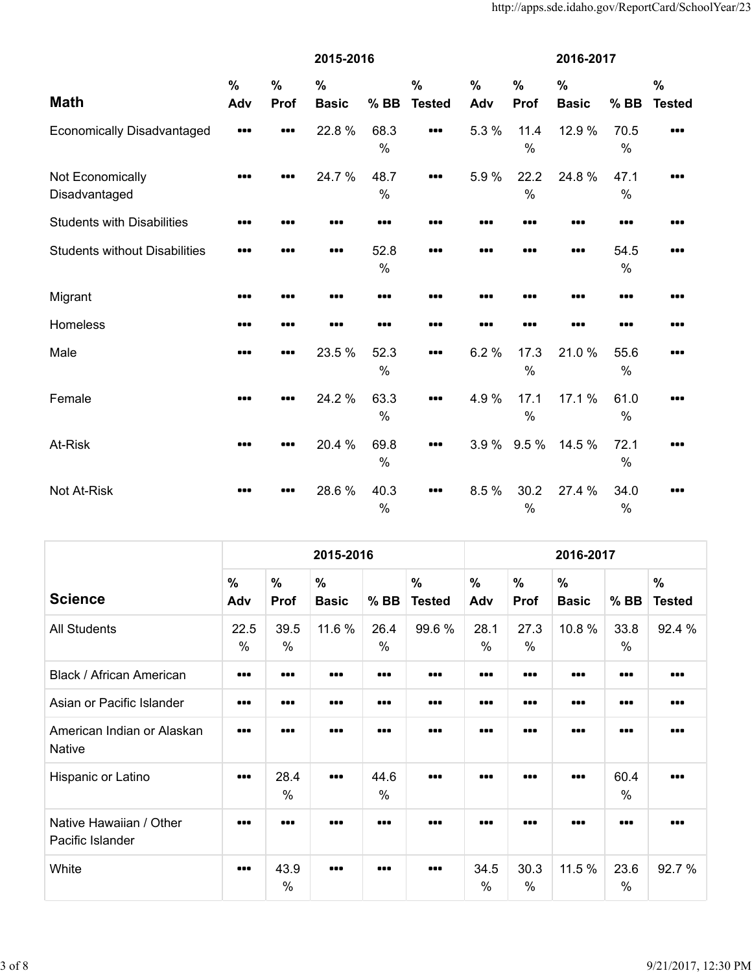|                                      | 2015-2016   |                       |                               |              |                                |                      | 2016-2017             |                               |              |                                |  |  |
|--------------------------------------|-------------|-----------------------|-------------------------------|--------------|--------------------------------|----------------------|-----------------------|-------------------------------|--------------|--------------------------------|--|--|
| <b>Math</b>                          | $\%$<br>Adv | $\frac{0}{0}$<br>Prof | $\frac{0}{0}$<br><b>Basic</b> | $%$ BB       | $\frac{0}{0}$<br><b>Tested</b> | $\frac{0}{0}$<br>Adv | $\frac{0}{0}$<br>Prof | $\frac{0}{0}$<br><b>Basic</b> | $%$ BB       | $\frac{0}{0}$<br><b>Tested</b> |  |  |
| <b>Economically Disadvantaged</b>    |             |                       | 22.8%                         | 68.3<br>$\%$ |                                | 5.3 %                | 11.4<br>$\frac{0}{0}$ | 12.9%                         | 70.5<br>$\%$ |                                |  |  |
| Not Economically<br>Disadvantaged    |             |                       | 24.7%                         | 48.7<br>$\%$ |                                | 5.9%                 | 22.2<br>$\%$          | 24.8%                         | 47.1<br>$\%$ | 88 E                           |  |  |
| <b>Students with Disabilities</b>    |             |                       |                               |              |                                |                      |                       |                               |              | 88 E                           |  |  |
| <b>Students without Disabilities</b> |             |                       |                               | 52.8<br>$\%$ |                                |                      |                       |                               | 54.5<br>$\%$ | ---                            |  |  |
| Migrant                              |             |                       |                               |              |                                |                      |                       |                               |              |                                |  |  |
| Homeless                             |             |                       |                               | 88 Q         |                                |                      |                       |                               |              |                                |  |  |
| Male                                 |             |                       | 23.5 %                        | 52.3<br>$\%$ |                                | 6.2%                 | 17.3<br>$\%$          | 21.0%                         | 55.6<br>$\%$ |                                |  |  |
| Female                               |             |                       | 24.2 %                        | 63.3<br>%    |                                | 4.9%                 | 17.1<br>$\frac{0}{0}$ | 17.1 %                        | 61.0<br>$\%$ |                                |  |  |
| At-Risk                              |             |                       | 20.4 %                        | 69.8<br>$\%$ |                                | 3.9%                 | 9.5 %                 | 14.5 %                        | 72.1<br>$\%$ |                                |  |  |
| Not At-Risk                          |             |                       | 28.6%                         | 40.3<br>$\%$ |                                | 8.5%                 | 30.2<br>$\%$          | 27.4 %                        | 34.0<br>$\%$ |                                |  |  |

|                                             |                                                             |                       | 2015-2016                     |              |                                | 2016-2017               |                              |                               |                         |                                |  |
|---------------------------------------------|-------------------------------------------------------------|-----------------------|-------------------------------|--------------|--------------------------------|-------------------------|------------------------------|-------------------------------|-------------------------|--------------------------------|--|
| <b>Science</b>                              | $\frac{0}{0}$<br>Adv                                        | $\%$<br>Prof          | $\frac{0}{0}$<br><b>Basic</b> | $%$ BB       | $\frac{0}{0}$<br><b>Tested</b> | $\%$<br>Adv             | $\frac{0}{0}$<br><b>Prof</b> | $\frac{0}{0}$<br><b>Basic</b> | $%$ BB                  | $\frac{0}{0}$<br><b>Tested</b> |  |
| <b>All Students</b>                         | 22.5<br>$\%$                                                | 39.5<br>$\frac{0}{0}$ | 11.6 %                        | 26.4<br>$\%$ | 99.6%                          | 28.1<br>$\frac{0}{0}$   | 27.3<br>%                    | 10.8%                         | 33.8<br>$\frac{0}{0}$   | 92.4 %                         |  |
| Black / African American                    | $\bullet\bullet\bullet$                                     |                       | $\bullet\bullet\bullet$       |              |                                | $\bullet\bullet\bullet$ |                              |                               | $\bullet\bullet\bullet$ |                                |  |
| Asian or Pacific Islander                   |                                                             |                       |                               |              |                                |                         |                              |                               |                         |                                |  |
| American Indian or Alaskan<br>Native        |                                                             |                       |                               |              |                                |                         |                              |                               |                         |                                |  |
| Hispanic or Latino                          | $\begin{array}{cc} \bullet & \bullet & \bullet \end{array}$ | 28.4<br>$\frac{0}{0}$ |                               | 44.6<br>$\%$ |                                |                         |                              |                               | 60.4<br>$\frac{0}{0}$   |                                |  |
| Native Hawaiian / Other<br>Pacific Islander |                                                             |                       |                               |              |                                |                         |                              |                               |                         |                                |  |
| White                                       |                                                             | 43.9<br>$\frac{0}{0}$ |                               |              |                                | 34.5<br>$\%$            | 30.3<br>%                    | 11.5 %                        | 23.6<br>$\%$            | 92.7 %                         |  |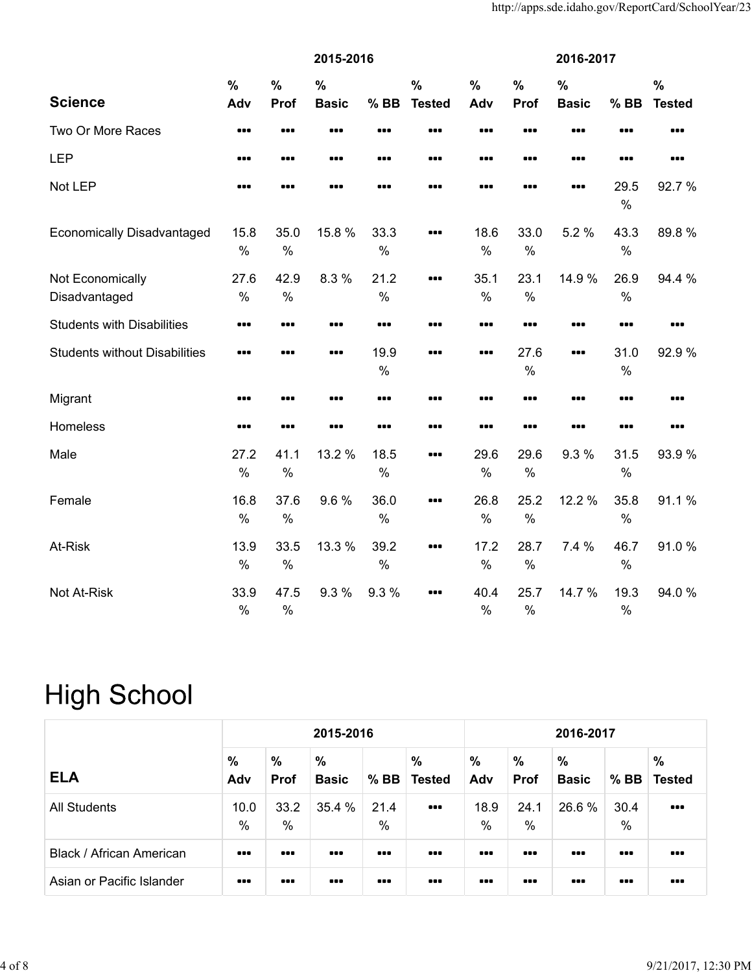|                                      | 2015-2016             |                              |                               |              |                                | 2016-2017             |                       |                               |                       |                                |  |
|--------------------------------------|-----------------------|------------------------------|-------------------------------|--------------|--------------------------------|-----------------------|-----------------------|-------------------------------|-----------------------|--------------------------------|--|
| <b>Science</b>                       | $\frac{0}{0}$<br>Adv  | $\frac{0}{0}$<br><b>Prof</b> | $\frac{0}{0}$<br><b>Basic</b> | $%$ BB       | $\frac{0}{0}$<br><b>Tested</b> | $\%$<br>Adv           | $\frac{0}{0}$<br>Prof | $\frac{0}{0}$<br><b>Basic</b> | $%$ BB                | $\frac{0}{0}$<br><b>Tested</b> |  |
| Two Or More Races                    |                       |                              |                               |              |                                |                       |                       |                               |                       |                                |  |
| <b>LEP</b>                           |                       |                              |                               |              |                                |                       |                       |                               |                       |                                |  |
| Not LEP                              |                       |                              |                               |              |                                |                       |                       |                               | 29.5<br>$\%$          | 92.7%                          |  |
| <b>Economically Disadvantaged</b>    | 15.8<br>$\%$          | 35.0<br>$\frac{0}{0}$        | 15.8 %                        | 33.3<br>$\%$ |                                | 18.6<br>$\frac{0}{0}$ | 33.0<br>$\frac{0}{0}$ | 5.2 %                         | 43.3<br>$\%$          | 89.8%                          |  |
| Not Economically<br>Disadvantaged    | 27.6<br>$\%$          | 42.9<br>$\%$                 | 8.3%                          | 21.2<br>$\%$ |                                | 35.1<br>$\frac{0}{0}$ | 23.1<br>$\frac{0}{0}$ | 14.9 %                        | 26.9<br>$\%$          | 94.4 %                         |  |
| <b>Students with Disabilities</b>    |                       |                              |                               |              |                                |                       |                       |                               |                       |                                |  |
| <b>Students without Disabilities</b> |                       |                              |                               | 19.9<br>$\%$ |                                |                       | 27.6<br>$\frac{0}{0}$ |                               | 31.0<br>$\%$          | 92.9%                          |  |
| Migrant                              |                       | ---                          |                               |              |                                |                       |                       | ---                           |                       |                                |  |
| Homeless                             |                       |                              |                               |              |                                |                       |                       |                               |                       |                                |  |
| Male                                 | 27.2<br>$\frac{0}{0}$ | 41.1<br>$\frac{0}{0}$        | 13.2 %                        | 18.5<br>$\%$ |                                | 29.6<br>$\frac{0}{0}$ | 29.6<br>$\frac{0}{0}$ | 9.3 %                         | 31.5<br>$\%$          | 93.9%                          |  |
| Female                               | 16.8<br>$\%$          | 37.6<br>$\%$                 | 9.6%                          | 36.0<br>$\%$ |                                | 26.8<br>$\frac{0}{0}$ | 25.2<br>$\frac{0}{0}$ | 12.2 %                        | 35.8<br>$\%$          | 91.1%                          |  |
| At-Risk                              | 13.9<br>$\%$          | 33.5<br>$\%$                 | 13.3 %                        | 39.2<br>$\%$ |                                | 17.2<br>$\%$          | 28.7<br>$\frac{0}{0}$ | 7.4%                          | 46.7<br>$\%$          | 91.0%                          |  |
| Not At-Risk                          | 33.9<br>$\frac{0}{0}$ | 47.5<br>$\frac{0}{0}$        | 9.3%                          | 9.3%         |                                | 40.4<br>$\frac{0}{0}$ | 25.7<br>$\frac{0}{0}$ | 14.7 %                        | 19.3<br>$\frac{0}{0}$ | 94.0%                          |  |

## **High School**

|                           | 2015-2016                                                   |                              |                               |                         |                         |                         | 2016-2017                    |                               |                         |                                                             |  |  |  |  |
|---------------------------|-------------------------------------------------------------|------------------------------|-------------------------------|-------------------------|-------------------------|-------------------------|------------------------------|-------------------------------|-------------------------|-------------------------------------------------------------|--|--|--|--|
| <b>ELA</b>                | $\frac{0}{0}$<br>Adv                                        | $\frac{9}{6}$<br><b>Prof</b> | $\frac{0}{0}$<br><b>Basic</b> | $%$ BB                  | %<br><b>Tested</b>      | %<br>Adv                | $\frac{0}{0}$<br><b>Prof</b> | $\frac{0}{0}$<br><b>Basic</b> | $%$ BB                  | $\frac{0}{0}$<br><b>Tested</b>                              |  |  |  |  |
| All Students              | 10.0<br>%                                                   | 33.2<br>%                    | 35.4 %                        | 21.4<br>$\frac{0}{0}$   | $\bullet\bullet\bullet$ | 18.9<br>$\frac{0}{0}$   | 24.1<br>%                    | 26.6 %                        | 30.4<br>$\%$            | $\begin{array}{cc} \bullet & \bullet & \bullet \end{array}$ |  |  |  |  |
| Black / African American  | $\begin{array}{cc} \bullet & \bullet & \bullet \end{array}$ | $\bullet\bullet\bullet$      |                               | $\bullet\bullet\bullet$ |                         | $\bullet\bullet\bullet$ | $\bullet\bullet\bullet$      |                               | $\bullet\bullet\bullet$ | $\bullet\bullet\bullet$                                     |  |  |  |  |
| Asian or Pacific Islander | $\bullet\bullet\bullet$                                     | $\bullet\bullet\bullet$      | $\bullet\bullet\bullet$       | $\bullet\bullet\bullet$ |                         | $\bullet\bullet\bullet$ | $\bullet\bullet\bullet$      | $\bullet\bullet\bullet$       | $\bullet\bullet\bullet$ | $\bullet\bullet\bullet$                                     |  |  |  |  |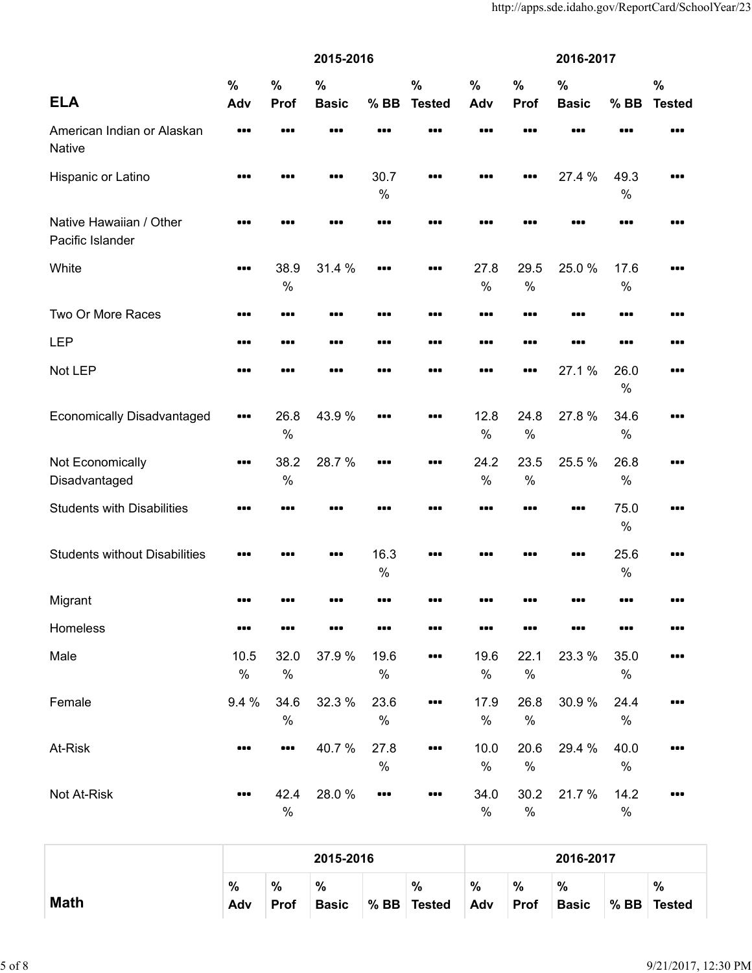|                                             |                      |                       | 2015-2016                     |              |                                | 2016-2017    |                       |                               |              |                                |  |
|---------------------------------------------|----------------------|-----------------------|-------------------------------|--------------|--------------------------------|--------------|-----------------------|-------------------------------|--------------|--------------------------------|--|
| <b>ELA</b>                                  | $\frac{0}{0}$<br>Adv | $\frac{0}{0}$<br>Prof | $\frac{0}{0}$<br><b>Basic</b> | $%$ BB       | $\frac{0}{0}$<br><b>Tested</b> | $\%$<br>Adv  | $\frac{0}{0}$<br>Prof | $\frac{0}{0}$<br><b>Basic</b> | $%$ BB       | $\frac{0}{0}$<br><b>Tested</b> |  |
| American Indian or Alaskan<br>Native        |                      |                       |                               |              |                                |              |                       |                               |              |                                |  |
| Hispanic or Latino                          |                      |                       |                               | 30.7<br>$\%$ | $\bullet\bullet\bullet$        |              |                       | 27.4 %                        | 49.3<br>$\%$ |                                |  |
| Native Hawaiian / Other<br>Pacific Islander |                      | 88 Q                  |                               |              |                                |              |                       |                               |              | .                              |  |
| White                                       |                      | 38.9<br>$\%$          | 31.4 %                        |              |                                | 27.8<br>$\%$ | 29.5<br>$\%$          | 25.0%                         | 17.6<br>$\%$ |                                |  |
| Two Or More Races                           |                      |                       |                               |              |                                |              |                       |                               |              |                                |  |
| <b>LEP</b>                                  |                      |                       |                               |              |                                |              |                       |                               |              |                                |  |
| Not LEP                                     |                      | ---                   |                               |              |                                |              |                       | 27.1%                         | 26.0<br>$\%$ | .                              |  |
| <b>Economically Disadvantaged</b>           |                      | 26.8<br>$\frac{0}{0}$ | 43.9%                         |              |                                | 12.8<br>$\%$ | 24.8<br>$\frac{0}{0}$ | 27.8%                         | 34.6<br>$\%$ |                                |  |
| Not Economically<br>Disadvantaged           |                      | 38.2<br>$\%$          | 28.7%                         |              |                                | 24.2<br>%    | 23.5<br>$\%$          | 25.5 %                        | 26.8<br>$\%$ |                                |  |
| <b>Students with Disabilities</b>           |                      |                       |                               |              |                                |              |                       |                               | 75.0<br>$\%$ |                                |  |
| <b>Students without Disabilities</b>        |                      |                       |                               | 16.3<br>$\%$ |                                |              |                       |                               | 25.6<br>$\%$ | .                              |  |
| Migrant                                     |                      |                       |                               |              |                                |              |                       |                               |              |                                |  |
| Homeless                                    |                      |                       |                               |              |                                |              |                       |                               |              |                                |  |
| Male                                        | 10.5<br>$\%$         | 32.0<br>$\%$          | 37.9 %                        | 19.6<br>$\%$ |                                | 19.6<br>$\%$ | 22.1<br>$\%$          | 23.3 %                        | 35.0<br>$\%$ |                                |  |
| Female                                      | 9.4 %                | 34.6<br>$\%$          | 32.3 %                        | 23.6<br>$\%$ |                                | 17.9<br>$\%$ | 26.8<br>$\%$          | 30.9%                         | 24.4<br>$\%$ |                                |  |
| At-Risk                                     |                      |                       | 40.7%                         | 27.8<br>$\%$ |                                | 10.0<br>$\%$ | 20.6<br>$\%$          | 29.4 %                        | 40.0<br>%    |                                |  |
| Not At-Risk                                 |                      | 42.4<br>$\%$          | 28.0%                         |              |                                | 34.0<br>$\%$ | 30.2<br>%             | 21.7 %                        | 14.2<br>$\%$ |                                |  |

|             |          |                     | 2015-2016         |        |                       |                      |                     | 2016-2017            |        |                    |
|-------------|----------|---------------------|-------------------|--------|-----------------------|----------------------|---------------------|----------------------|--------|--------------------|
| <b>Math</b> | %<br>Adv | $\%$<br><b>Prof</b> | %<br><b>Basic</b> | $%$ BB | $\%$<br><b>Tested</b> | $\frac{0}{0}$<br>Adv | $\%$<br><b>Prof</b> | $\%$<br><b>Basic</b> | $%$ BB | %<br><b>Tested</b> |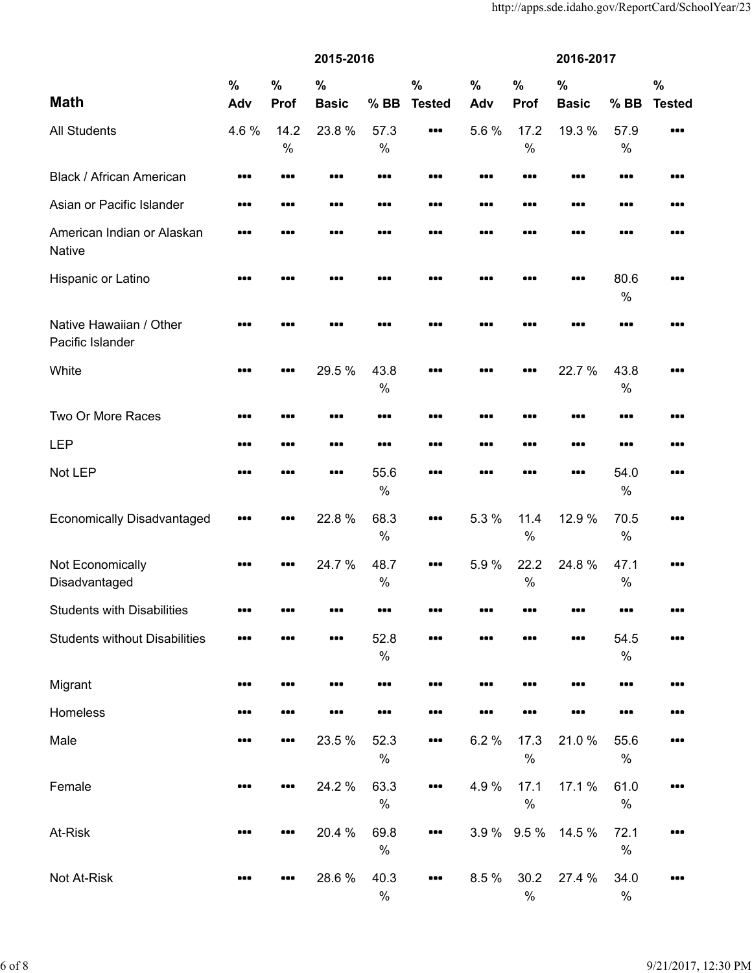|                                             |               | 2015-2016     |               |              |                         |               |                       | 2016-2017     |              |               |  |  |  |
|---------------------------------------------|---------------|---------------|---------------|--------------|-------------------------|---------------|-----------------------|---------------|--------------|---------------|--|--|--|
|                                             | $\frac{0}{0}$ | $\frac{0}{0}$ | $\frac{0}{0}$ |              | $\frac{0}{0}$           | $\frac{0}{0}$ | $\frac{0}{0}$         | $\frac{0}{0}$ |              | $\frac{0}{0}$ |  |  |  |
| <b>Math</b>                                 | Adv           | Prof          | <b>Basic</b>  | $%$ BB       | <b>Tested</b>           | Adv           | Prof                  | <b>Basic</b>  | $%$ BB       | <b>Tested</b> |  |  |  |
| <b>All Students</b>                         | 4.6%          | 14.2          | 23.8%         | 57.3         | $\bullet\bullet\bullet$ | 5.6%          | 17.2                  | 19.3 %        | 57.9         |               |  |  |  |
|                                             |               | $\%$          |               | %            |                         |               | $\frac{0}{0}$         |               | $\%$         |               |  |  |  |
| <b>Black / African American</b>             |               |               |               |              |                         |               |                       |               |              |               |  |  |  |
| Asian or Pacific Islander                   |               |               |               |              |                         |               |                       |               |              |               |  |  |  |
| American Indian or Alaskan<br><b>Native</b> | 88 E          |               | ---           | ---          |                         | ---           |                       | ---           |              |               |  |  |  |
| Hispanic or Latino                          |               |               |               |              |                         |               |                       |               | 80.6<br>$\%$ |               |  |  |  |
| Native Hawaiian / Other<br>Pacific Islander |               |               |               |              |                         |               |                       |               |              |               |  |  |  |
| White                                       |               |               | 29.5 %        | 43.8<br>$\%$ |                         |               |                       | 22.7 %        | 43.8<br>$\%$ | .             |  |  |  |
| Two Or More Races                           |               | ---           |               |              |                         |               |                       |               |              | 88 E          |  |  |  |
| <b>LEP</b>                                  |               |               |               |              |                         |               |                       |               |              |               |  |  |  |
| Not LEP                                     |               |               |               | 55.6<br>$\%$ |                         |               |                       |               | 54.0<br>$\%$ |               |  |  |  |
| <b>Economically Disadvantaged</b>           |               |               | 22.8%         | 68.3<br>$\%$ |                         | 5.3 %         | 11.4<br>$\%$          | 12.9 %        | 70.5<br>$\%$ |               |  |  |  |
| Not Economically<br>Disadvantaged           | 88 C          |               | 24.7 %        | 48.7<br>%    |                         | 5.9%          | 22.2<br>$\frac{0}{0}$ | 24.8%         | 47.1<br>$\%$ |               |  |  |  |
| <b>Students with Disabilities</b>           |               |               |               |              |                         |               |                       |               |              |               |  |  |  |
| <b>Students without Disabilities</b>        |               |               |               | 52.8<br>$\%$ |                         |               |                       |               | 54.5<br>$\%$ |               |  |  |  |
| Migrant                                     |               |               |               |              |                         |               |                       |               |              |               |  |  |  |
| Homeless                                    |               |               |               |              |                         |               |                       |               |              |               |  |  |  |
| Male                                        |               |               | 23.5 %        | 52.3<br>$\%$ |                         | 6.2%          | 17.3<br>$\%$          | 21.0%         | 55.6<br>$\%$ |               |  |  |  |
| Female                                      |               |               | 24.2 %        | 63.3<br>$\%$ |                         | 4.9%          | 17.1<br>$\%$          | 17.1 %        | 61.0<br>$\%$ |               |  |  |  |
| At-Risk                                     |               |               | 20.4 %        | 69.8<br>$\%$ |                         | 3.9%          | 9.5 %                 | 14.5 %        | 72.1<br>$\%$ |               |  |  |  |
| Not At-Risk                                 |               |               | 28.6%         | 40.3<br>$\%$ |                         | 8.5 %         | 30.2<br>$\%$          | 27.4 %        | 34.0<br>$\%$ |               |  |  |  |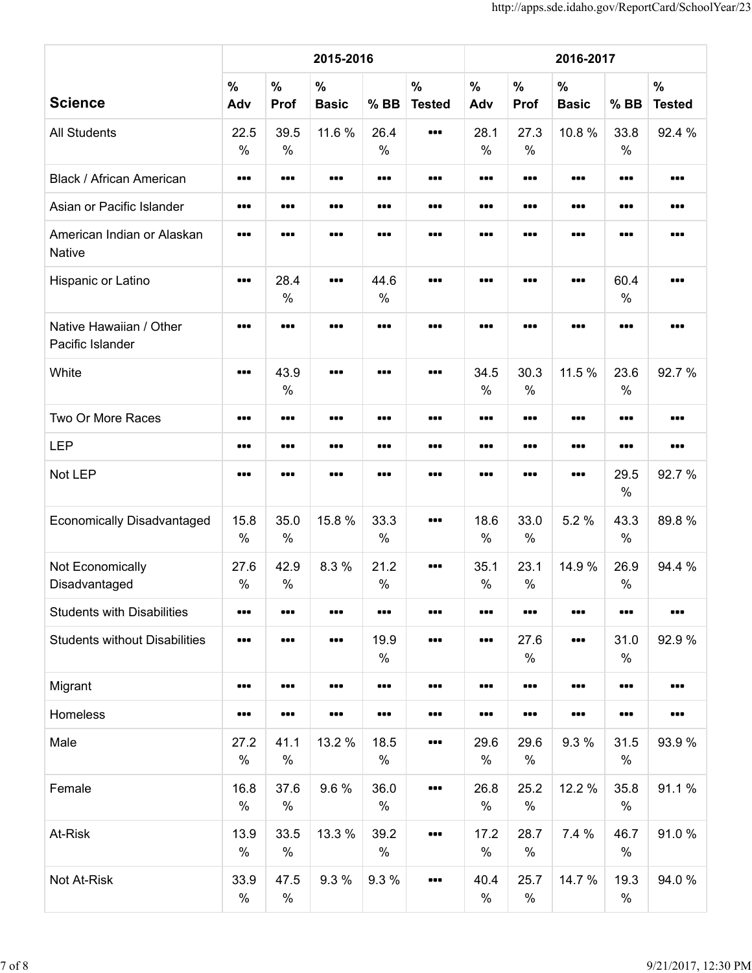|                                             |                      |                       | 2015-2016                     |                         |                                                             | 2016-2017                                                    |                                                             |                      |                       |                                |  |  |
|---------------------------------------------|----------------------|-----------------------|-------------------------------|-------------------------|-------------------------------------------------------------|--------------------------------------------------------------|-------------------------------------------------------------|----------------------|-----------------------|--------------------------------|--|--|
| <b>Science</b>                              | $\frac{9}{6}$<br>Adv | $\%$<br>Prof          | $\frac{0}{0}$<br><b>Basic</b> | $%$ BB                  | $\frac{0}{0}$<br><b>Tested</b>                              | $\%$<br>Adv                                                  | $\frac{0}{0}$<br>Prof                                       | $\%$<br><b>Basic</b> | $%$ BB                | $\frac{0}{0}$<br><b>Tested</b> |  |  |
| <b>All Students</b>                         | 22.5<br>%            | 39.5<br>$\%$          | 11.6 %                        | 26.4<br>$\%$            | $\begin{array}{cc} \bullet & \bullet & \bullet \end{array}$ | 28.1<br>%                                                    | 27.3<br>$\%$                                                | 10.8%                | 33.8<br>$\%$          | 92.4 %                         |  |  |
| <b>Black / African American</b>             |                      |                       |                               |                         | $\bullet\bullet\bullet$                                     |                                                              |                                                             |                      |                       |                                |  |  |
| Asian or Pacific Islander                   |                      |                       |                               | $\bullet\bullet\bullet$ | $\bullet\bullet\bullet$                                     | $\begin{array}{cc} \bullet & \bullet & \bullet \end{array}$  | $\bullet\bullet\bullet$                                     |                      |                       |                                |  |  |
| American Indian or Alaskan<br><b>Native</b> |                      |                       |                               | $\bullet\bullet\bullet$ |                                                             | $\bullet\bullet\bullet$                                      | $\bullet\bullet\bullet$                                     |                      |                       |                                |  |  |
| Hispanic or Latino                          |                      | 28.4<br>$\%$          |                               | 44.6<br>$\%$            |                                                             |                                                              |                                                             |                      | 60.4<br>$\frac{0}{0}$ |                                |  |  |
| Native Hawaiian / Other<br>Pacific Islander |                      |                       |                               |                         |                                                             | $\bullet\bullet\bullet$                                      |                                                             |                      |                       |                                |  |  |
| White                                       |                      | 43.9<br>$\frac{0}{0}$ |                               |                         |                                                             | 34.5<br>$\%$                                                 | 30.3<br>$\%$                                                | 11.5 %               | 23.6<br>$\frac{0}{0}$ | 92.7%                          |  |  |
| Two Or More Races                           |                      |                       |                               | $\bullet\bullet\bullet$ | $\bullet\bullet\bullet$                                     | $\begin{array}{ccc} \bullet & \bullet & \bullet \end{array}$ | $\bullet\bullet\bullet$                                     |                      |                       |                                |  |  |
| <b>LEP</b>                                  |                      |                       |                               | $\bullet\bullet\bullet$ | $\bullet\bullet\bullet$                                     | $\bullet\bullet\bullet$                                      | $\bullet\bullet\bullet$                                     |                      |                       |                                |  |  |
| Not LEP                                     |                      |                       |                               |                         |                                                             |                                                              |                                                             |                      | 29.5<br>$\%$          | 92.7%                          |  |  |
| <b>Economically Disadvantaged</b>           | 15.8<br>%            | 35.0<br>$\%$          | 15.8 %                        | 33.3<br>$\%$            | $\bullet\bullet\bullet$                                     | 18.6<br>$\%$                                                 | 33.0<br>$\%$                                                | 5.2 %                | 43.3<br>$\frac{0}{0}$ | 89.8%                          |  |  |
| Not Economically<br>Disadvantaged           | 27.6<br>%            | 42.9<br>$\%$          | 8.3%                          | 21.2<br>$\%$            | $\bullet\bullet\bullet$                                     | 35.1<br>$\%$                                                 | 23.1<br>$\%$                                                | 14.9 %               | 26.9<br>$\frac{0}{0}$ | 94.4 %                         |  |  |
| <b>Students with Disabilities</b>           |                      |                       |                               |                         |                                                             | $\begin{array}{cc} \bullet & \bullet & \bullet \end{array}$  | $\begin{array}{cc} \bullet & \bullet & \bullet \end{array}$ |                      |                       |                                |  |  |
| <b>Students without Disabilities</b>        |                      |                       |                               | 19.9<br>$\%$            | $\bullet\bullet\bullet$                                     | $\bullet\bullet\bullet$                                      | 27.6<br>$\%$                                                |                      | 31.0<br>$\%$          | 92.9%                          |  |  |
| Migrant                                     |                      |                       |                               |                         | $\bullet\bullet\bullet$                                     |                                                              | $\begin{array}{cc} \bullet & \bullet & \bullet \end{array}$ |                      |                       |                                |  |  |
| Homeless                                    |                      |                       |                               |                         |                                                             | $\begin{array}{cc} \bullet & \bullet & \bullet \end{array}$  | $\begin{array}{cc} \bullet & \bullet & \bullet \end{array}$ |                      |                       |                                |  |  |
| Male                                        | 27.2<br>$\%$         | 41.1<br>$\%$          | 13.2 %                        | 18.5<br>$\%$            | $\bullet\bullet\bullet$                                     | 29.6<br>$\%$                                                 | 29.6<br>$\%$                                                | 9.3 %                | 31.5<br>$\%$          | 93.9%                          |  |  |
| Female                                      | 16.8<br>$\%$         | 37.6<br>$\%$          | 9.6%                          | 36.0<br>$\%$            |                                                             | 26.8<br>$\%$                                                 | 25.2<br>$\%$                                                | 12.2 %               | 35.8<br>$\%$          | 91.1%                          |  |  |
| At-Risk                                     | 13.9<br>$\%$         | 33.5<br>$\%$          | 13.3 %                        | 39.2<br>$\%$            | $\bullet\bullet\bullet$                                     | 17.2<br>$\%$                                                 | 28.7<br>$\%$                                                | 7.4 %                | 46.7<br>$\%$          | 91.0%                          |  |  |
| Not At-Risk                                 | 33.9<br>$\%$         | 47.5<br>$\%$          | 9.3 %                         | 9.3%                    |                                                             | 40.4<br>$\%$                                                 | 25.7<br>$\%$                                                | 14.7 %               | 19.3<br>$\%$          | 94.0%                          |  |  |